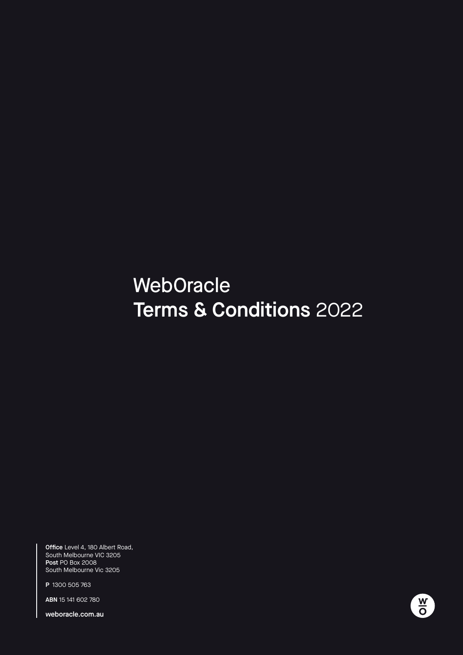# Terms & Conditions Terms & Conditions 2022**WebOracle**

Office Level 4, 180 Albert Road, South Melbourne VIC 3205 Post PO Box 2008 South Melbourne Vic 3205

P 1300 505 763

ABN 15 141 602 780

weboracle.com.au

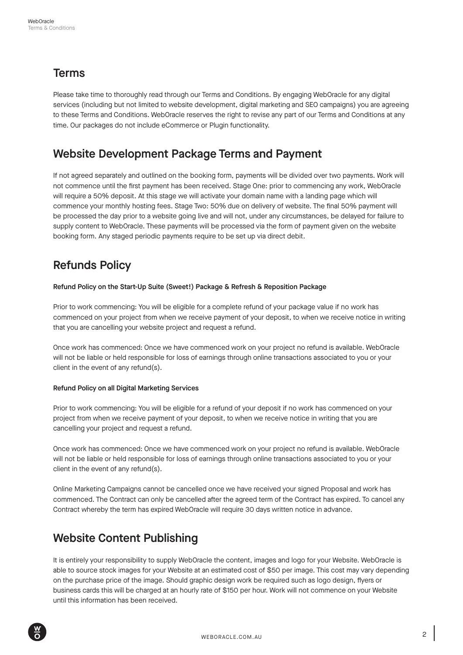#### Terms

Please take time to thoroughly read through our Terms and Conditions. By engaging WebOracle for any digital services (including but not limited to website development, digital marketing and SEO campaigns) you are agreeing to these Terms and Conditions. WebOracle reserves the right to revise any part of our Terms and Conditions at any time. Our packages do not include eCommerce or Plugin functionality.

#### Website Development Package Terms and Payment

If not agreed separately and outlined on the booking form, payments will be divided over two payments. Work will not commence until the first payment has been received. Stage One: prior to commencing any work, WebOracle will require a 50% deposit. At this stage we will activate your domain name with a landing page which will commence your monthly hosting fees. Stage Two: 50% due on delivery of website. The final 50% payment will be processed the day prior to a website going live and will not, under any circumstances, be delayed for failure to supply content to WebOracle. These payments will be processed via the form of payment given on the website booking form. Any staged periodic payments require to be set up via direct debit.

# Refunds Policy

#### Refund Policy on the Start-Up Suite (Sweet!) Package & Refresh & Reposition Package

Prior to work commencing: You will be eligible for a complete refund of your package value if no work has commenced on your project from when we receive payment of your deposit, to when we receive notice in writing that you are cancelling your website project and request a refund.

Once work has commenced: Once we have commenced work on your project no refund is available. WebOracle will not be liable or held responsible for loss of earnings through online transactions associated to you or your client in the event of any refund(s).

#### Refund Policy on all Digital Marketing Services

Prior to work commencing: You will be eligible for a refund of your deposit if no work has commenced on your project from when we receive payment of your deposit, to when we receive notice in writing that you are cancelling your project and request a refund.

Once work has commenced: Once we have commenced work on your project no refund is available. WebOracle will not be liable or held responsible for loss of earnings through online transactions associated to you or your client in the event of any refund(s).

Online Marketing Campaigns cannot be cancelled once we have received your signed Proposal and work has commenced. The Contract can only be cancelled after the agreed term of the Contract has expired. To cancel any Contract whereby the term has expired WebOracle will require 30 days written notice in advance.

#### Website Content Publishing

It is entirely your responsibility to supply WebOracle the content, images and logo for your Website. WebOracle is able to source stock images for your Website at an estimated cost of \$50 per image. This cost may vary depending on the purchase price of the image. Should graphic design work be required such as logo design, flyers or business cards this will be charged at an hourly rate of \$150 per hour. Work will not commence on your Website until this information has been received.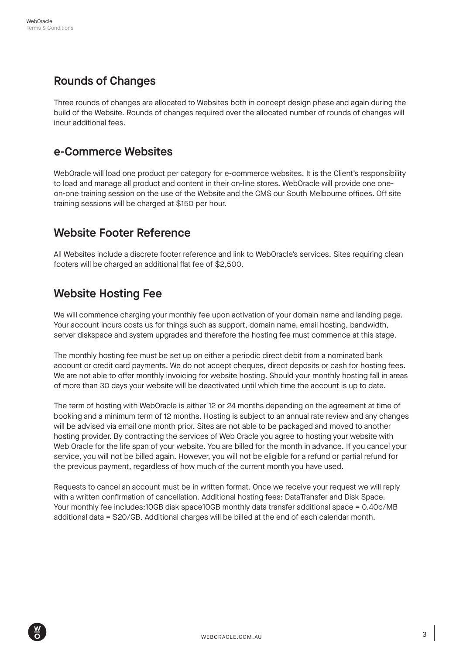# Rounds of Changes

Three rounds of changes are allocated to Websites both in concept design phase and again during the build of the Website. Rounds of changes required over the allocated number of rounds of changes will incur additional fees.

#### e-Commerce Websites

WebOracle will load one product per category for e-commerce websites. It is the Client's responsibility to load and manage all product and content in their on-line stores. WebOracle will provide one oneon-one training session on the use of the Website and the CMS our South Melbourne offices. Off site training sessions will be charged at \$150 per hour.

#### Website Footer Reference

All Websites include a discrete footer reference and link to WebOracle's services. Sites requiring clean footers will be charged an additional flat fee of \$2,500.

# Website Hosting Fee

We will commence charging your monthly fee upon activation of your domain name and landing page. Your account incurs costs us for things such as support, domain name, email hosting, bandwidth, server diskspace and system upgrades and therefore the hosting fee must commence at this stage.

The monthly hosting fee must be set up on either a periodic direct debit from a nominated bank account or credit card payments. We do not accept cheques, direct deposits or cash for hosting fees. We are not able to offer monthly invoicing for website hosting. Should your monthly hosting fall in areas of more than 30 days your website will be deactivated until which time the account is up to date.

The term of hosting with WebOracle is either 12 or 24 months depending on the agreement at time of booking and a minimum term of 12 months. Hosting is subject to an annual rate review and any changes will be advised via email one month prior. Sites are not able to be packaged and moved to another hosting provider. By contracting the services of Web Oracle you agree to hosting your website with Web Oracle for the life span of your website. You are billed for the month in advance. If you cancel your service, you will not be billed again. However, you will not be eligible for a refund or partial refund for the previous payment, regardless of how much of the current month you have used.

Requests to cancel an account must be in written format. Once we receive your request we will reply with a written confirmation of cancellation. Additional hosting fees: DataTransfer and Disk Space. Your monthly fee includes:10GB disk space10GB monthly data transfer additional space = 0.40c/MB additional data = \$20/GB. Additional charges will be billed at the end of each calendar month.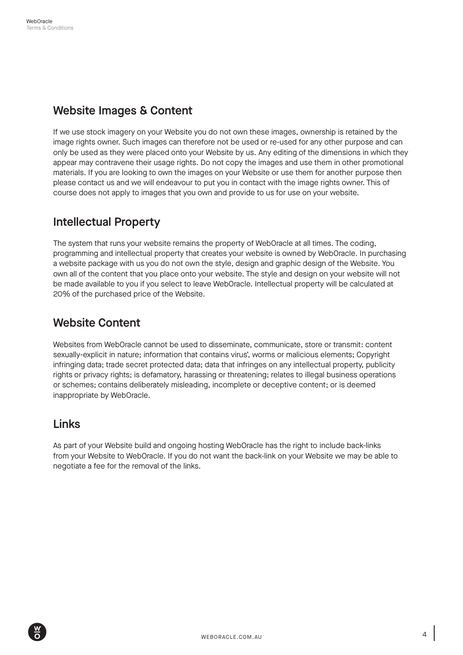#### Website Images & Content

If we use stock imagery on your Website you do not own these images, ownership is retained by the image rights owner. Such images can therefore not be used or re-used for any other purpose and can only be used as they were placed onto your Website by us. Any editing of the dimensions in which they appear may contravene their usage rights. Do not copy the images and use them in other promotional materials. If you are looking to own the images on your Website or use them for another purpose then please contact us and we will endeavour to put you in contact with the image rights owner. This of course does not apply to images that you own and provide to us for use on your website.

# Intellectual Property

The system that runs your website remains the property of WebOracle at all times. The coding, programming and intellectual property that creates your website is owned by WebOracle. In purchasing a website package with us you do not own the style, design and graphic design of the Website. You own all of the content that you place onto your website. The style and design on your website will not be made available to you if you select to leave WebOracle. Intellectual property will be calculated at 20% of the purchased price of the Website.

# Website Content

Websites from WebOracle cannot be used to disseminate, communicate, store or transmit: content sexually-explicit in nature; information that contains virus', worms or malicious elements; Copyright infringing data; trade secret protected data; data that infringes on any intellectual property, publicity rights or privacy rights; is defamatory, harassing or threatening; relates to illegal business operations or schemes; contains deliberately misleading, incomplete or deceptive content; or is deemed inappropriate by WebOracle.

#### Links

As part of your Website build and ongoing hosting WebOracle has the right to include back-links from your Website to WebOracle. If you do not want the back-link on your Website we may be able to negotiate a fee for the removal of the links.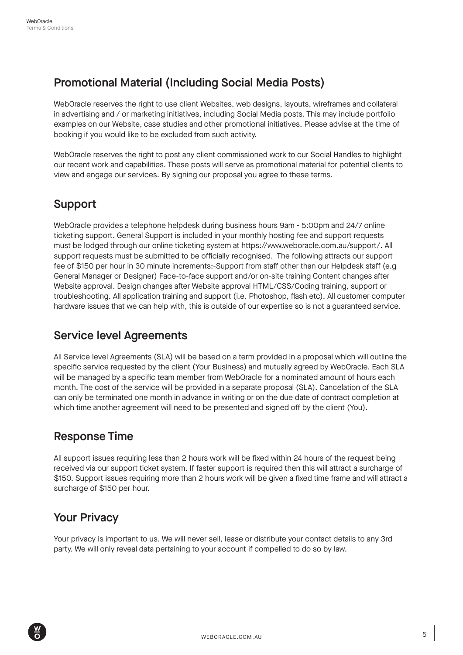# Promotional Material (Including Social Media Posts)

WebOracle reserves the right to use client Websites, web designs, layouts, wireframes and collateral in advertising and / or marketing initiatives, including Social Media posts. This may include portfolio examples on our Website, case studies and other promotional initiatives. Please advise at the time of booking if you would like to be excluded from such activity.

WebOracle reserves the right to post any client commissioned work to our Social Handles to highlight our recent work and capabilities. These posts will serve as promotional material for potential clients to view and engage our services. By signing our proposal you agree to these terms.

# Support

WebOracle provides a telephone helpdesk during business hours 9am - 5:00pm and 24/7 online ticketing support. General Support is included in your monthly hosting fee and support requests must be lodged through our online ticketing system at https://www.weboracle.com.au/support/. All support requests must be submitted to be officially recognised. The following attracts our support fee of \$150 per hour in 30 minute increments:-Support from staff other than our Helpdesk staff (e.g General Manager or Designer) Face-to-face support and/or on-site training Content changes after Website approval. Design changes after Website approval HTML/CSS/Coding training, support or troubleshooting. All application training and support (i.e. Photoshop, flash etc). All customer computer hardware issues that we can help with, this is outside of our expertise so is not a guaranteed service.

# Service level Agreements

All Service level Agreements (SLA) will be based on a term provided in a proposal which will outline the specific service requested by the client (Your Business) and mutually agreed by WebOracle. Each SLA will be managed by a specific team member from WebOracle for a nominated amount of hours each month. The cost of the service will be provided in a separate proposal (SLA). Cancelation of the SLA can only be terminated one month in advance in writing or on the due date of contract completion at which time another agreement will need to be presented and signed off by the client (You).

# Response Time

All support issues requiring less than 2 hours work will be fixed within 24 hours of the request being received via our support ticket system. If faster support is required then this will attract a surcharge of \$150. Support issues requiring more than 2 hours work will be given a fixed time frame and will attract a surcharge of \$150 per hour.

# Your Privacy

Your privacy is important to us. We will never sell, lease or distribute your contact details to any 3rd party. We will only reveal data pertaining to your account if compelled to do so by law.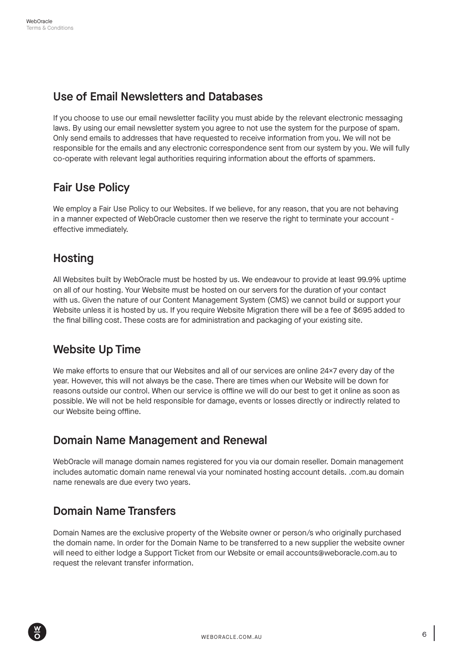# Use of Email Newsletters and Databases

If you choose to use our email newsletter facility you must abide by the relevant electronic messaging laws. By using our email newsletter system you agree to not use the system for the purpose of spam. Only send emails to addresses that have requested to receive information from you. We will not be responsible for the emails and any electronic correspondence sent from our system by you. We will fully co-operate with relevant legal authorities requiring information about the efforts of spammers.

# Fair Use Policy

We employ a Fair Use Policy to our Websites. If we believe, for any reason, that you are not behaving in a manner expected of WebOracle customer then we reserve the right to terminate your account effective immediately.

# **Hosting**

All Websites built by WebOracle must be hosted by us. We endeavour to provide at least 99.9% uptime on all of our hosting. Your Website must be hosted on our servers for the duration of your contact with us. Given the nature of our Content Management System (CMS) we cannot build or support your Website unless it is hosted by us. If you require Website Migration there will be a fee of \$695 added to the final billing cost. These costs are for administration and packaging of your existing site.

# Website Up Time

We make efforts to ensure that our Websites and all of our services are online 24×7 every day of the year. However, this will not always be the case. There are times when our Website will be down for reasons outside our control. When our service is offline we will do our best to get it online as soon as possible. We will not be held responsible for damage, events or losses directly or indirectly related to our Website being offline.

#### Domain Name Management and Renewal

WebOracle will manage domain names registered for you via our domain reseller. Domain management includes automatic domain name renewal via your nominated hosting account details. .com.au domain name renewals are due every two years.

# Domain Name Transfers

Domain Names are the exclusive property of the Website owner or person/s who originally purchased the domain name. In order for the Domain Name to be transferred to a new supplier the website owner will need to either lodge a Support Ticket from our Website or email accounts@weboracle.com.au to request the relevant transfer information.